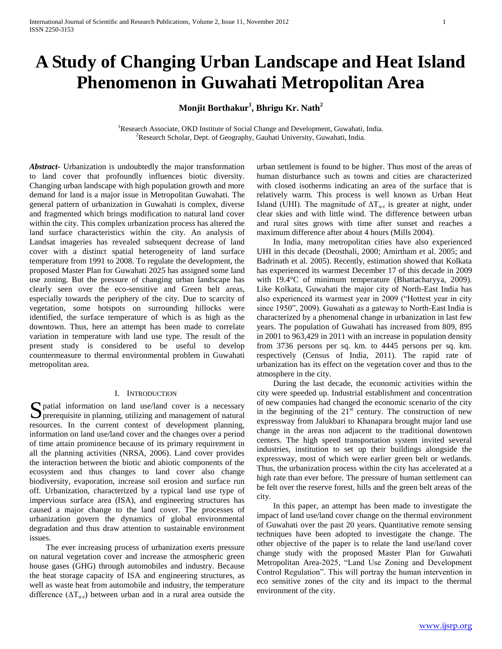# **A Study of Changing Urban Landscape and Heat Island Phenomenon in Guwahati Metropolitan Area**

**Monjit Borthakur<sup>1</sup> , Bhrigu Kr. Nath<sup>2</sup>**

<sup>1</sup>Research Associate, OKD Institute of Social Change and Development, Guwahati, India. <sup>2</sup>Research Scholar, Dept. of Geography, Gauhati University, Guwahati, India.

*Abstract***-** Urbanization is undoubtedly the major transformation to land cover that profoundly influences biotic diversity. Changing urban landscape with high population growth and more demand for land is a major issue in Metropolitan Guwahati. The general pattern of urbanization in Guwahati is complex, diverse and fragmented which brings modification to natural land cover within the city. This complex urbanization process has altered the land surface characteristics within the city. An analysis of Landsat imageries has revealed subsequent decrease of land cover with a distinct spatial heterogeneity of land surface temperature from 1991 to 2008. To regulate the development, the proposed Master Plan for Guwahati 2025 has assigned some land use zoning. But the pressure of changing urban landscape has clearly seen over the eco-sensitive and Green belt areas, especially towards the periphery of the city. Due to scarcity of vegetation, some hotspots on surrounding hillocks were identified, the surface temperature of which is as high as the downtown. Thus, here an attempt has been made to correlate variation in temperature with land use type. The result of the present study is considered to be useful to develop countermeasure to thermal environmental problem in Guwahati metropolitan area.

## I. INTRODUCTION

S patial information on land use/land cover is a necessary prerequisite in planning, utilizing and management of natural  $\sum$  prerequisite in planning, utilizing and management of natural resources. In the current context of development planning, information on land use/land cover and the changes over a period of time attain prominence because of its primary requirement in all the planning activities (NRSA, 2006). Land cover provides the interaction between the biotic and abiotic components of the ecosystem and thus changes to land cover also change biodiversity, evaporation, increase soil erosion and surface run off. Urbanization, characterized by a typical land use type of impervious surface area (ISA), and engineering structures has caused a major change to the land cover. The processes of urbanization govern the dynamics of global environmental degradation and thus draw attention to sustainable environment issues.

 The ever increasing process of urbanization exerts pressure on natural vegetation cover and increase the atmospheric green house gases (GHG) through automobiles and industry. Because the heat storage capacity of ISA and engineering structures, as well as waste heat from automobile and industry, the temperature difference  $(\Delta T_{u-r})$  between urban and in a rural area outside the

urban settlement is found to be higher. Thus most of the areas of human disturbance such as towns and cities are characterized with closed isotherms indicating an area of the surface that is relatively warm. This process is well known as Urban Heat Island (UHI). The magnitude of  $\Delta T_{u-r}$  is greater at night, under clear skies and with little wind. The difference between urban and rural sites grows with time after sunset and reaches a maximum difference after about 4 hours (Mills 2004).

 In India, many metropolitan cities have also experienced UHI in this decade (Deosthali, 2000; Amirtham et al. 2005; and Badrinath et al. 2005). Recently, estimation showed that Kolkata has experienced its warmest December 17 of this decade in 2009 with 19.4°C of minimum temperature (Bhattacharyya, 2009). Like Kolkata, Guwahati the major city of North-East India has also experienced its warmest year in 2009 ("Hottest year in city since 1950", 2009). Guwahati as a gateway to North-East India is characterized by a phenomenal change in urbanization in last few years. The population of Guwahati has increased from 809, 895 in 2001 to 963,429 in 2011 with an increase in population density from 3736 persons per sq. km. to 4445 persons per sq. km. respectively (Census of India, 2011). The rapid rate of urbanization has its effect on the vegetation cover and thus to the atmosphere in the city.

 During the last decade, the economic activities within the city were speeded up. Industrial establishment and concentration of new companies had changed the economic scenario of the city in the beginning of the  $21<sup>st</sup>$  century. The construction of new expressway from Jalukbari to Khanapara brought major land use change in the areas non adjacent to the traditional downtown centers. The high speed transportation system invited several industries, institution to set up their buildings alongside the expressway, most of which were earlier green belt or wetlands. Thus, the urbanization process within the city has accelerated at a high rate than ever before. The pressure of human settlement can be felt over the reserve forest, hills and the green belt areas of the city.

 In this paper, an attempt has been made to investigate the impact of land use/land cover change on the thermal environment of Guwahati over the past 20 years. Quantitative remote sensing techniques have been adopted to investigate the change. The other objective of the paper is to relate the land use/land cover change study with the proposed Master Plan for Guwahati Metropolitan Area-2025, "Land Use Zoning and Development Control Regulation". This will portray the human intervention in eco sensitive zones of the city and its impact to the thermal environment of the city.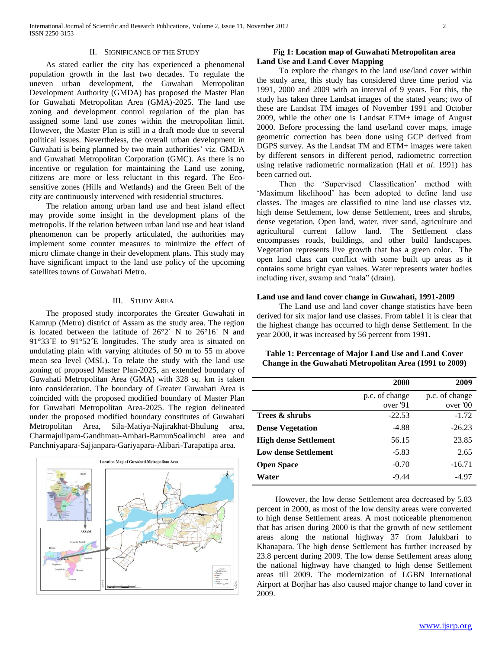#### II. SIGNIFICANCE OF THE STUDY

 As stated earlier the city has experienced a phenomenal population growth in the last two decades. To regulate the uneven urban development, the Guwahati Metropolitan Development Authority (GMDA) has proposed the Master Plan for Guwahati Metropolitan Area (GMA)-2025. The land use zoning and development control regulation of the plan has assigned some land use zones within the metropolitan limit. However, the Master Plan is still in a draft mode due to several political issues. Nevertheless, the overall urban development in Guwahati is being planned by two main authorities' viz. GMDA and Guwahati Metropolitan Corporation (GMC). As there is no incentive or regulation for maintaining the Land use zoning, citizens are more or less reluctant in this regard. The Ecosensitive zones (Hills and Wetlands) and the Green Belt of the city are continuously intervened with residential structures.

 The relation among urban land use and heat island effect may provide some insight in the development plans of the metropolis. If the relation between urban land use and heat island phenomenon can be properly articulated, the authorities may implement some counter measures to minimize the effect of micro climate change in their development plans. This study may have significant impact to the land use policy of the upcoming satellites towns of Guwahati Metro.

#### III. STUDY AREA

 The proposed study incorporates the Greater Guwahati in Kamrup (Metro) district of Assam as the study area. The region is located between the latitude of 26°2´ N to 26°16´ N and 91°33´E to 91°52´E longitudes. The study area is situated on undulating plain with varying altitudes of 50 m to 55 m above mean sea level (MSL). To relate the study with the land use zoning of proposed Master Plan-2025, an extended boundary of Guwahati Metropolitan Area (GMA) with 328 sq. km is taken into consideration. The boundary of Greater Guwahati Area is coincided with the proposed modified boundary of Master Plan for Guwahati Metropolitan Area-2025. The region delineated under the proposed modified boundary constitutes of Guwahati Metropolitan Area, Sila-Matiya-Najirakhat-Bhulung area, Charmajulipam-Gandhmau-Ambari-BamunSoalkuchi area and Panchniyapara-Sajjanpara-Gariyapara-Alibari-Tarapatipa area.



## **Fig 1: Location map of Guwahati Metropolitan area Land Use and Land Cover Mapping**

 To explore the changes to the land use/land cover within the study area, this study has considered three time period viz 1991, 2000 and 2009 with an interval of 9 years. For this, the study has taken three Landsat images of the stated years; two of these are Landsat TM images of November 1991 and October 2009, while the other one is Landsat ETM+ image of August 2000. Before processing the land use/land cover maps, image geometric correction has been done using GCP derived from DGPS survey. As the Landsat TM and ETM+ images were taken by different sensors in different period, radiometric correction using relative radiometric normalization (Hall *et al*. 1991) has been carried out.

Then the 'Supervised Classification' method with 'Maximum likelihood' has been adopted to define land use classes. The images are classified to nine land use classes viz. high dense Settlement, low dense Settlement, trees and shrubs, dense vegetation, Open land, water, river sand, agriculture and agricultural current fallow land. The Settlement class encompasses roads, buildings, and other build landscapes. Vegetation represents live growth that has a green color. The open land class can conflict with some built up areas as it contains some bright cyan values. Water represents water bodies including river, swamp and "nala" (drain).

## **Land use and land cover change in Guwahati, 1991-2009**

 The Land use and land cover change statistics have been derived for six major land use classes. From table1 it is clear that the highest change has occurred to high dense Settlement. In the year 2000, it was increased by 56 percent from 1991.

| Table 1: Percentage of Major Land Use and Land Cover    |  |
|---------------------------------------------------------|--|
| Change in the Guwahati Metropolitan Area (1991 to 2009) |  |

|                              | 2000                       | 2009                       |
|------------------------------|----------------------------|----------------------------|
|                              | p.c. of change<br>over '91 | p.c. of change<br>over '00 |
| Trees & shrubs               | $-22.53$                   | $-1.72$                    |
| <b>Dense Vegetation</b>      | $-4.88$                    | $-26.23$                   |
| <b>High dense Settlement</b> | 56.15                      | 23.85                      |
| <b>Low dense Settlement</b>  | $-5.83$                    | 2.65                       |
| <b>Open Space</b>            | $-0.70$                    | $-16.71$                   |
| Water                        | $-9.44$                    | -4.97                      |

 However, the low dense Settlement area decreased by 5.83 percent in 2000, as most of the low density areas were converted to high dense Settlement areas. A most noticeable phenomenon that has arisen during 2000 is that the growth of new settlement areas along the national highway 37 from Jalukbari to Khanapara. The high dense Settlement has further increased by 23.8 percent during 2009. The low dense Settlement areas along the national highway have changed to high dense Settlement areas till 2009. The modernization of LGBN International Airport at Borjhar has also caused major change to land cover in 2009.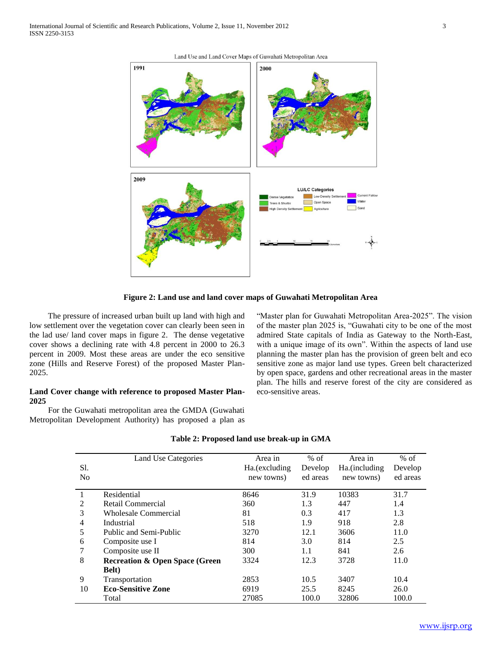



**Figure 2: Land use and land cover maps of Guwahati Metropolitan Area**

 The pressure of increased urban built up land with high and low settlement over the vegetation cover can clearly been seen in the lad use/ land cover maps in figure 2. The dense vegetative cover shows a declining rate with 4.8 percent in 2000 to 26.3 percent in 2009. Most these areas are under the eco sensitive zone (Hills and Reserve Forest) of the proposed Master Plan-2025.

# **Land Cover change with reference to proposed Master Plan-2025**

 For the Guwahati metropolitan area the GMDA (Guwahati Metropolitan Development Authority) has proposed a plan as "Master plan for Guwahati Metropolitan Area-2025". The vision of the master plan 2025 is, "Guwahati city to be one of the most admired State capitals of India as Gateway to the North-East, with a unique image of its own". Within the aspects of land use planning the master plan has the provision of green belt and eco sensitive zone as major land use types. Green belt characterized by open space, gardens and other recreational areas in the master plan. The hills and reserve forest of the city are considered as eco-sensitive areas.

|     | Land Use Categories                       | Area in        | $%$ of   | Area in       | $%$ of   |
|-----|-------------------------------------------|----------------|----------|---------------|----------|
| Sl. |                                           | Ha. (excluding | Develop  | Ha.(including | Develop  |
| No  |                                           | new towns)     | ed areas | new towns)    | ed areas |
|     | Residential                               |                |          | 10383         | 31.7     |
|     |                                           | 8646           | 31.9     |               |          |
| 2   | Retail Commercial                         | 360            | 1.3      | 447           | 1.4      |
| 3   | <b>Wholesale Commercial</b>               | 81             | 0.3      | 417           | 1.3      |
| 4   | Industrial                                | 518            | 1.9      | 918           | 2.8      |
| 5   | Public and Semi-Public                    | 3270           | 12.1     | 3606          | 11.0     |
| 6   | Composite use I                           | 814            | 3.0      | 814           | 2.5      |
| 7   | Composite use II                          | 300            | 1.1      | 841           | 2.6      |
| 8   | <b>Recreation &amp; Open Space (Green</b> | 3324           | 12.3     | 3728          | 11.0     |
|     | <b>Belt</b> )                             |                |          |               |          |
| 9   | Transportation                            | 2853           | 10.5     | 3407          | 10.4     |
| 10  | <b>Eco-Sensitive Zone</b>                 | 6919           | 25.5     | 8245          | 26.0     |
|     | Total                                     | 27085          | 100.0    | 32806         | 100.0    |

#### **Table 2: Proposed land use break-up in GMA**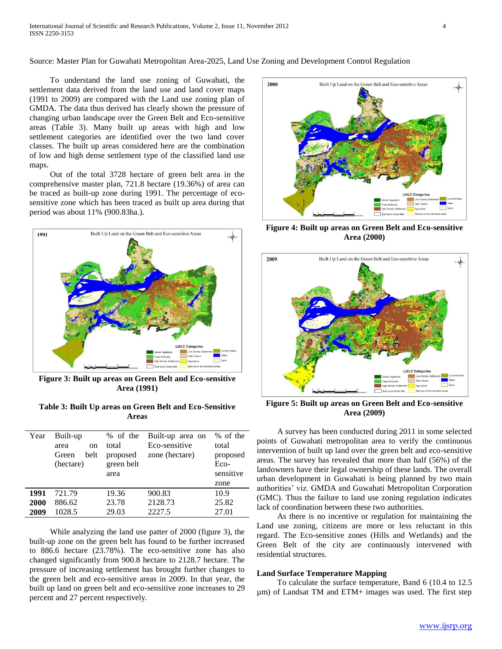Source: Master Plan for Guwahati Metropolitan Area-2025, Land Use Zoning and Development Control Regulation

 To understand the land use zoning of Guwahati, the settlement data derived from the land use and land cover maps (1991 to 2009) are compared with the Land use zoning plan of GMDA. The data thus derived has clearly shown the pressure of changing urban landscape over the Green Belt and Eco-sensitive areas (Table 3). Many built up areas with high and low settlement categories are identified over the two land cover classes. The built up areas considered here are the combination of low and high dense settlement type of the classified land use maps.

 Out of the total 3728 hectare of green belt area in the comprehensive master plan, 721.8 hectare (19.36%) of area can be traced as built-up zone during 1991. The percentage of ecosensitive zone which has been traced as built up area during that period was about 11% (900.83ha.).



**Figure 3: Built up areas on Green Belt and Eco-sensitive Area (1991)**

**Table 3: Built Up areas on Green Belt and Eco-Sensitive Areas**

| Year | Built-up<br>area<br><sub>on</sub><br>belt<br>Green<br>(hectare) | % of the<br>total<br>proposed<br>green belt<br>area | Built-up area on<br>Eco-sensitive<br>zone (hectare) | % of the<br>total<br>proposed<br>Eco-<br>sensitive<br>zone |
|------|-----------------------------------------------------------------|-----------------------------------------------------|-----------------------------------------------------|------------------------------------------------------------|
| 1991 | 721.79                                                          | 19.36                                               | 900.83                                              | 10.9                                                       |
| 2000 | 886.62                                                          | 23.78                                               | 2128.73                                             | 25.82                                                      |
| 2009 | 1028.5                                                          | 29.03                                               | 2227.5                                              | 27.01                                                      |

 While analyzing the land use patter of 2000 (figure 3), the built-up zone on the green belt has found to be further increased to 886.6 hectare (23.78%). The eco-sensitive zone has also changed significantly from 900.8 hectare to 2128.7 hectare. The pressure of increasing settlement has brought further changes to the green belt and eco-sensitive areas in 2009. In that year, the built up land on green belt and eco-sensitive zone increases to 29 percent and 27 percent respectively.



**Figure 4: Built up areas on Green Belt and Eco-sensitive Area (2000)**



**Figure 5: Built up areas on Green Belt and Eco-sensitive Area (2009)**

 A survey has been conducted during 2011 in some selected points of Guwahati metropolitan area to verify the continuous intervention of built up land over the green belt and eco-sensitive areas. The survey has revealed that more than half (56%) of the landowners have their legal ownership of these lands. The overall urban development in Guwahati is being planned by two main authorities" viz. GMDA and Guwahati Metropolitan Corporation (GMC). Thus the failure to land use zoning regulation indicates lack of coordination between these two authorities.

 As there is no incentive or regulation for maintaining the Land use zoning, citizens are more or less reluctant in this regard. The Eco-sensitive zones (Hills and Wetlands) and the Green Belt of the city are continuously intervened with residential structures.

## **Land Surface Temperature Mapping**

 To calculate the surface temperature, Band 6 (10.4 to 12.5 µm) of Landsat TM and ETM+ images was used. The first step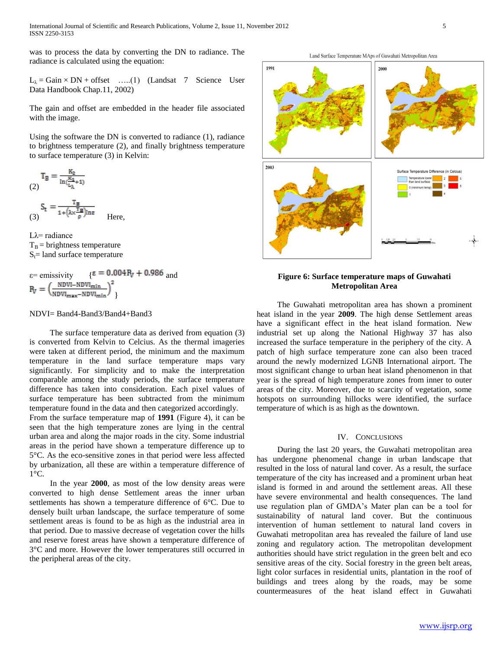was to process the data by converting the DN to radiance. The radiance is calculated using the equation:

 $L_{\lambda}$  = Gain × DN + offset …..(1) (Landsat 7 Science User Data Handbook Chap.11, 2002)

The gain and offset are embedded in the header file associated with the image.

Using the software the DN is converted to radiance (1), radiance to brightness temperature (2), and finally brightness temperature to surface temperature (3) in Kelvin:

$$
T_B = \frac{K_2}{\ln(\frac{K_1}{L_\lambda} + 1)}
$$
  

$$
S_t = -\frac{T_B}{L_1 + T_B}
$$

$$
(3)^{\frac{J_{\rm t}}{I}} - \frac{1 + (\lambda \times \frac{\rm T_{\rm B}}{\rho}) \ln \epsilon}{I_{\rm t}} \quad \text{Here,}
$$

Lλ= radiance  $T_B$  = brightness temperature  $S_t$ = land surface temperature

$$
\varepsilon = \text{emissivity} \quad \{ \varepsilon = 0.004 \, \text{R}_V + 0.986 \, \text{and} \, \text{R}_V = \left( \frac{\text{NDVI} - \text{NDVI}_{\text{min}}}{\text{NDVI}_{\text{max}} - \text{NDVI}_{\text{min}}} \right)^2 \}
$$

#### NDVI= Band4-Band3/Band4+Band3

 The surface temperature data as derived from equation (3) is converted from Kelvin to Celcius. As the thermal imageries were taken at different period, the minimum and the maximum temperature in the land surface temperature maps vary significantly. For simplicity and to make the interpretation comparable among the study periods, the surface temperature difference has taken into consideration. Each pixel values of surface temperature has been subtracted from the minimum temperature found in the data and then categorized accordingly.

From the surface temperature map of **1991** (Figure 4), it can be seen that the high temperature zones are lying in the central urban area and along the major roads in the city. Some industrial areas in the period have shown a temperature difference up to 5°C. As the eco-sensitive zones in that period were less affected by urbanization, all these are within a temperature difference of  $1^{\circ}C$ .

 In the year **2000**, as most of the low density areas were converted to high dense Settlement areas the inner urban settlements has shown a temperature difference of 6°C. Due to densely built urban landscape, the surface temperature of some settlement areas is found to be as high as the industrial area in that period. Due to massive decrease of vegetation cover the hills and reserve forest areas have shown a temperature difference of 3°C and more. However the lower temperatures still occurred in the peripheral areas of the city.



Land Surface Temperature MAps of Guwahati Metropolitan Area



## **Figure 6: Surface temperature maps of Guwahati Metropolitan Area**

 The Guwahati metropolitan area has shown a prominent heat island in the year **2009**. The high dense Settlement areas have a significant effect in the heat island formation. New industrial set up along the National Highway 37 has also increased the surface temperature in the periphery of the city. A patch of high surface temperature zone can also been traced around the newly modernized LGNB International airport. The most significant change to urban heat island phenomenon in that year is the spread of high temperature zones from inner to outer areas of the city. Moreover, due to scarcity of vegetation, some hotspots on surrounding hillocks were identified, the surface temperature of which is as high as the downtown.

## IV. CONCLUSIONS

 During the last 20 years, the Guwahati metropolitan area has undergone phenomenal change in urban landscape that resulted in the loss of natural land cover. As a result, the surface temperature of the city has increased and a prominent urban heat island is formed in and around the settlement areas. All these have severe environmental and health consequences. The land use regulation plan of GMDA"s Mater plan can be a tool for sustainability of natural land cover. But the continuous intervention of human settlement to natural land covers in Guwahati metropolitan area has revealed the failure of land use zoning and regulatory action. The metropolitan development authorities should have strict regulation in the green belt and eco sensitive areas of the city. Social forestry in the green belt areas, light color surfaces in residential units, plantation in the roof of buildings and trees along by the roads, may be some countermeasures of the heat island effect in Guwahati